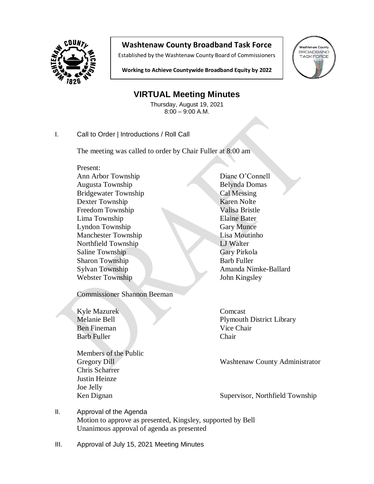

## **Washtenaw County Broadband Task Force**

Established by the Washtenaw County Board of Commissioners



**Working to Achieve Countywide Broadband Equity by 2022**

## **VIRTUAL Meeting Minutes**

Thursday, August 19, 2021 8:00 – 9:00 A.M.

I. Call to Order | Introductions / Roll Call

The meeting was called to order by Chair Fuller at 8:00 am

Present: Ann Arbor Township Diane O'Connell Augusta Township Belynda Domas Bridgewater Township Cal Messing Dexter Township Karen Nolte Freedom Township Valisa Bristle Lima Township **Elaine Bater** Lyndon Township Gary Munce Manchester Township Lisa Moutinho Northfield Township LJ Walter Saline Township Gary Pirkola Sharon Township Barb Fuller Sylvan Township Amanda Nimke-Ballard Webster Township John Kingsley

Commissioner Shannon Beeman

Kyle Mazurek Comcast Ben Fineman Vice Chair Barb Fuller Chair

Members of the Public Chris Scharrer Justin Heinze Joe Jelly

Melanie Bell Plymouth District Library

Gregory Dill Washtenaw County Administrator

Ken Dignan Supervisor, Northfield Township

- II. Approval of the Agenda Motion to approve as presented, Kingsley, supported by Bell Unanimous approval of agenda as presented
- III. Approval of July 15, 2021 Meeting Minutes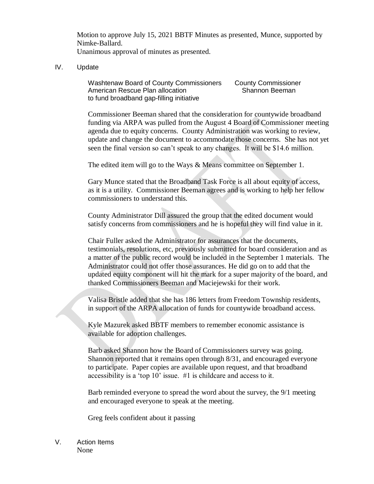Motion to approve July 15, 2021 BBTF Minutes as presented, Munce, supported by Nimke-Ballard. Unanimous approval of minutes as presented.

IV. Update

Washtenaw Board of County Commissioners County Commissioner American Rescue Plan allocation Shannon Beeman to fund broadband gap-filling initiative

 Commissioner Beeman shared that the consideration for countywide broadband funding via ARPA was pulled from the August 4 Board of Commissioner meeting agenda due to equity concerns. County Administration was working to review, update and change the document to accommodate those concerns. She has not yet seen the final version so can't speak to any changes. It will be \$14.6 million.

The edited item will go to the Ways & Means committee on September 1.

Gary Munce stated that the Broadband Task Force is all about equity of access, as it is a utility. Commissioner Beeman agrees and is working to help her fellow commissioners to understand this.

County Administrator Dill assured the group that the edited document would satisfy concerns from commissioners and he is hopeful they will find value in it.

Chair Fuller asked the Administrator for assurances that the documents, testimonials, resolutions, etc, previously submitted for board consideration and as a matter of the public record would be included in the September 1 materials. The Administrator could not offer those assurances. He did go on to add that the updated equity component will hit the mark for a super majority of the board, and thanked Commissioners Beeman and Maciejewski for their work.

Valisa Bristle added that she has 186 letters from Freedom Township residents, in support of the ARPA allocation of funds for countywide broadband access.

Kyle Mazurek asked BBTF members to remember economic assistance is available for adoption challenges.

Barb asked Shannon how the Board of Commissioners survey was going. Shannon reported that it remains open through 8/31, and encouraged everyone to participate. Paper copies are available upon request, and that broadband accessibility is a 'top 10' issue. #1 is childcare and access to it.

Barb reminded everyone to spread the word about the survey, the 9/1 meeting and encouraged everyone to speak at the meeting.

Greg feels confident about it passing

V. Action Items None